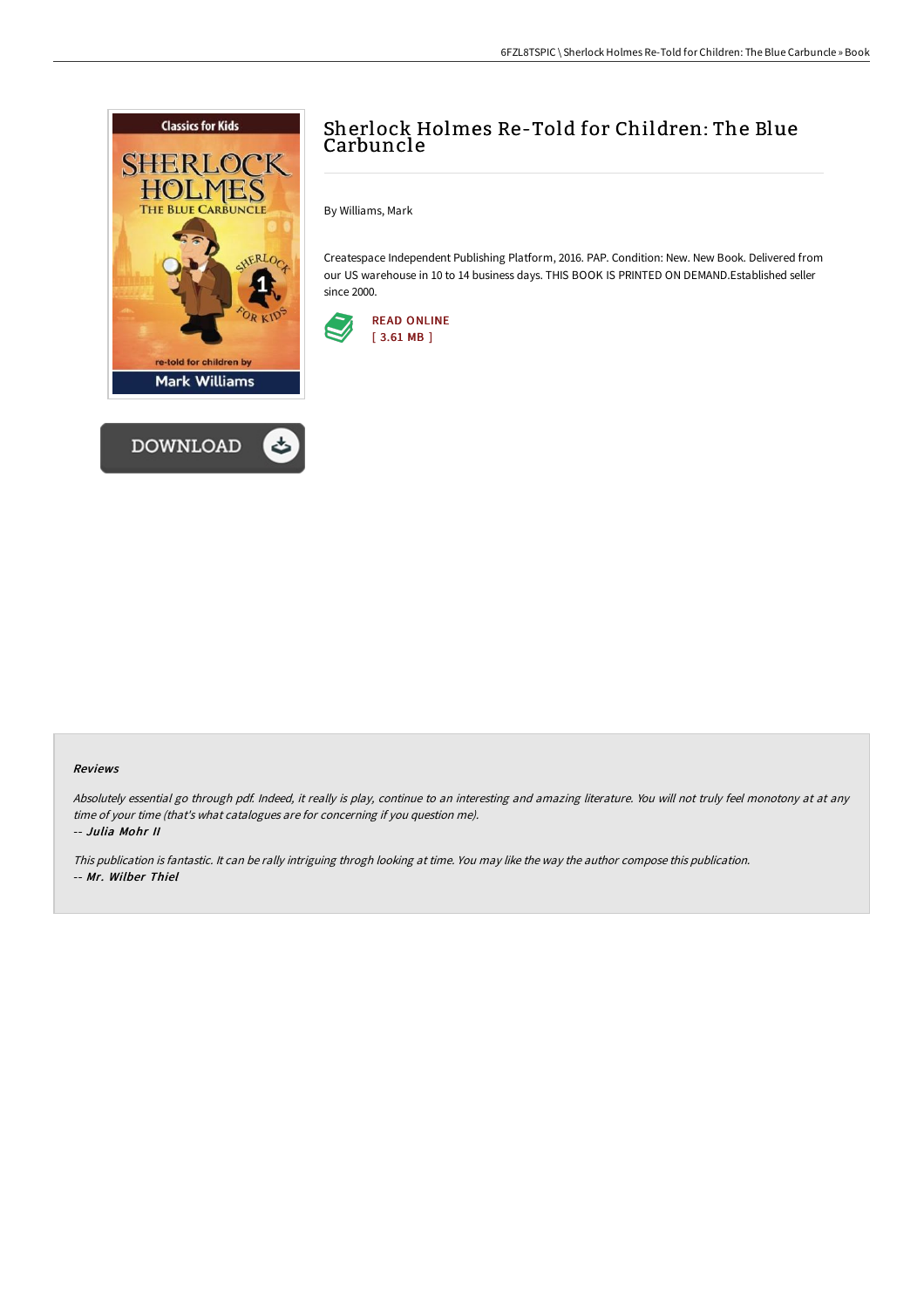



## Sherlock Holmes Re-Told for Children: The Blue Carbuncle

By Williams, Mark

Createspace Independent Publishing Platform, 2016. PAP. Condition: New. New Book. Delivered from our US warehouse in 10 to 14 business days. THIS BOOK IS PRINTED ON DEMAND.Established seller since 2000.



## Reviews

Absolutely essential go through pdf. Indeed, it really is play, continue to an interesting and amazing literature. You will not truly feel monotony at at any time of your time (that's what catalogues are for concerning if you question me).

-- Julia Mohr II

This publication is fantastic. It can be rally intriguing throgh looking at time. You may like the way the author compose this publication. -- Mr. Wilber Thiel